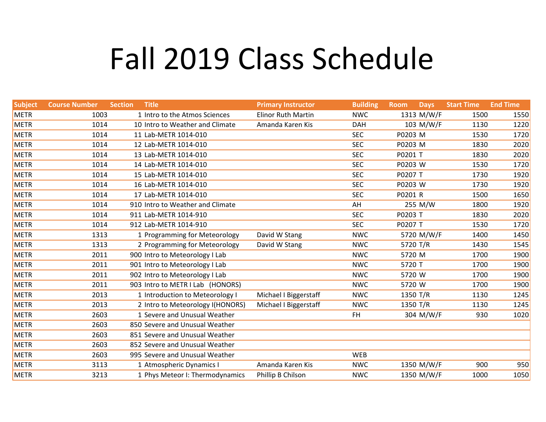## Fall 2019 Class Schedule

| <b>Subject</b> | <b>Course Number</b> | <b>Section</b> | <b>Title</b>                     | <b>Primary Instructor</b> | <b>Building</b> | <b>Room</b> | <b>Days</b> | <b>Start Time</b> | <b>End Time</b> |
|----------------|----------------------|----------------|----------------------------------|---------------------------|-----------------|-------------|-------------|-------------------|-----------------|
| <b>METR</b>    | 1003                 |                | 1 Intro to the Atmos Sciences    | <b>Elinor Ruth Martin</b> | <b>NWC</b>      |             | 1313 M/W/F  | 1500              | 1550            |
| <b>METR</b>    | 1014                 |                | 10 Intro to Weather and Climate  | Amanda Karen Kis          | <b>DAH</b>      |             | 103 M/W/F   | 1130              | 1220            |
| <b>METR</b>    | 1014                 |                | 11 Lab-METR 1014-010             |                           | <b>SEC</b>      | P0203 M     |             | 1530              | 1720            |
| <b>METR</b>    | 1014                 |                | 12 Lab-METR 1014-010             |                           | <b>SEC</b>      | P0203 M     |             | 1830              | 2020            |
| <b>METR</b>    | 1014                 |                | 13 Lab-METR 1014-010             |                           | <b>SEC</b>      | P0201 T     |             | 1830              | 2020            |
| <b>METR</b>    | 1014                 |                | 14 Lab-METR 1014-010             |                           | <b>SEC</b>      | P0203 W     |             | 1530              | 1720            |
| <b>METR</b>    | 1014                 |                | 15 Lab-METR 1014-010             |                           | <b>SEC</b>      | P0207 T     |             | 1730              | 1920            |
| <b>METR</b>    | 1014                 |                | 16 Lab-METR 1014-010             |                           | <b>SEC</b>      | P0203 W     |             | 1730              | 1920            |
| <b>METR</b>    | 1014                 |                | 17 Lab-METR 1014-010             |                           | <b>SEC</b>      | P0201 R     |             | 1500              | 1650            |
| <b>METR</b>    | 1014                 |                | 910 Intro to Weather and Climate |                           | AH              |             | 255 M/W     | 1800              | 1920            |
| <b>METR</b>    | 1014                 |                | 911 Lab-METR 1014-910            |                           | <b>SEC</b>      | P0203 T     |             | 1830              | 2020            |
| <b>METR</b>    | 1014                 |                | 912 Lab-METR 1014-910            |                           | <b>SEC</b>      | P0207 T     |             | 1530              | 1720            |
| <b>METR</b>    | 1313                 |                | 1 Programming for Meteorology    | David W Stang             | <b>NWC</b>      |             | 5720 M/W/F  | 1400              | 1450            |
| <b>METR</b>    | 1313                 |                | 2 Programming for Meteorology    | David W Stang             | <b>NWC</b>      |             | 5720 T/R    | 1430              | 1545            |
| <b>METR</b>    | 2011                 |                | 900 Intro to Meteorology I Lab   |                           | <b>NWC</b>      | 5720 M      |             | 1700              | 1900            |
| <b>METR</b>    | 2011                 |                | 901 Intro to Meteorology I Lab   |                           | <b>NWC</b>      | 5720 T      |             | 1700              | 1900            |
| <b>METR</b>    | 2011                 |                | 902 Intro to Meteorology I Lab   |                           | <b>NWC</b>      | 5720 W      |             | 1700              | 1900            |
| <b>METR</b>    | 2011                 |                | 903 Intro to METR I Lab (HONORS) |                           | <b>NWC</b>      | 5720 W      |             | 1700              | 1900            |
| <b>METR</b>    | 2013                 |                | 1 Introduction to Meteorology I  | Michael I Biggerstaff     | <b>NWC</b>      |             | 1350 T/R    | 1130              | 1245            |
| <b>METR</b>    | 2013                 |                | 2 Intro to Meteorology I(HONORS) | Michael I Biggerstaff     | <b>NWC</b>      |             | 1350 T/R    | 1130              | 1245            |
| <b>METR</b>    | 2603                 |                | 1 Severe and Unusual Weather     |                           | <b>FH</b>       |             | 304 M/W/F   | 930               | 1020            |
| <b>METR</b>    | 2603                 |                | 850 Severe and Unusual Weather   |                           |                 |             |             |                   |                 |
| <b>METR</b>    | 2603                 |                | 851 Severe and Unusual Weather   |                           |                 |             |             |                   |                 |
| <b>METR</b>    | 2603                 |                | 852 Severe and Unusual Weather   |                           |                 |             |             |                   |                 |
| <b>METR</b>    | 2603                 |                | 995 Severe and Unusual Weather   |                           | <b>WEB</b>      |             |             |                   |                 |
| <b>METR</b>    | 3113                 |                | 1 Atmospheric Dynamics I         | Amanda Karen Kis          | <b>NWC</b>      |             | 1350 M/W/F  | 900               | 950             |
| <b>METR</b>    | 3213                 |                | 1 Phys Meteor I: Thermodynamics  | Phillip B Chilson         | <b>NWC</b>      |             | 1350 M/W/F  | 1000              | 1050            |